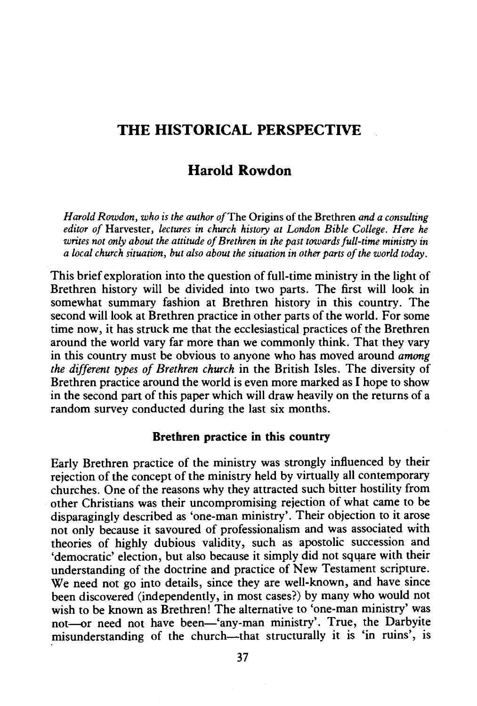# **THE HISTORICAL PERSPECTIVE**

## **Harold Rowdon**

*H arold Rowdon, who is the author of* The Origins of the Brethren *and a consulting editor of* Harvester, *lectures in church history at London Bible College. Here he writes not only about the attitude of Brethren in the past towards full-time ministry in a local church situation, but also about the situation in other parts of the world today.* 

This brief exploration into the question of full-time ministry in the light of Brethren history will be divided into two parts. The first will look in somewhat summary fashion at Brethren history in this country. The second will look at Brethren practice in other parts of the world. For some time now, it has struck me that the ecclesiastical practices of the Brethren around the world vary far more than we commonly think. That they vary in this country must be obvious to anyone who has moved around *among the different types of Brethren church* in the British Isles. The diversity of Brethren practice around the world is even more marked as I hope to show in the second part of this paper which will draw heavily on the returns of a random survey conducted during the last six months.

#### **Brethren practice in this country**

Early Brethren practice of the ministry was strongly influenced by their rejection of the concept of the ministry held by virtually all contemporary churches. One of the reasons why they attracted such bitter hostility from other Christians was their uncompromising rejection of what came to be disparagingly described as 'one-man ministry'. Their objection to it arose not only because it savoured of professionalism and was associated with theories of highly dubious validity, such as apostolic succession and 'democratic' election, but also because it simply did not square with their understanding of the doctrine and practice of New Testament scripture. We need not go into details, since they are well-known, and have since been discovered (independently, in most cases?) by many who would not wish to be known as Brethren! The alternative to 'one-man ministry' was not--or need not have been-'any-man ministry'. True, the Darbvite misunderstanding of the church-that structurally it is 'in ruins', is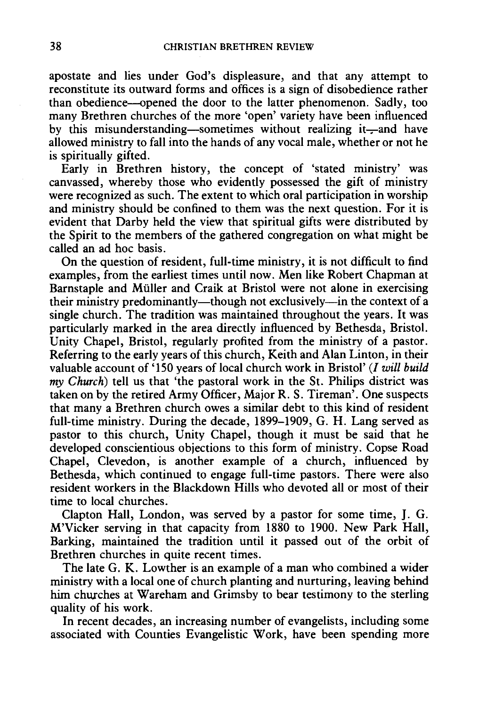apostate and lies under God's displeasure, and that any attempt to reconstitute its outward forms and offices is a sign of disobedience rather than obedience--opened the door to the latter phenomenon. Sadly, too many Brethren churches of the more 'open' variety have been influenced by this misunderstanding-sometimes without realizing it-and have allowed ministry to fall into the hands of any vocal male, whether or not he is spiritually gifted.

Early in Brethren history, the concept of 'stated ministry' was canvassed, whereby those who evidently possessed the gift of ministry were recognized as such. The extent to which oral participation in worship and ministry should be confined to them was the next question. For it is evident that Darby held the view that spiritual gifts were distributed by the Spirit to the members of the gathered congregation on what might be called an ad hoc basis.

On the question of resident, full-time ministry, it is not difficult to find examples, from the earliest times until now. Men like Robert Chapman at Barnstaple and Muller and Craik at Bristol were not alone in exercising their ministry predominantly—though not exclusively—in the context of a single church. The tradition was maintained throughout the years. It was particularly marked in the area directly influenced by Bethesda, Bristol. Unity Chapel, Bristol, regularly profited from the ministry of a pastor. Referring to the early years of this church, Keith and Alan Linton, in their valuable account of '150 years of local church work in Bristol'(/ *will build my Church)* tell us that 'the pastoral work in the St. Philips district was taken on by the retired Army Officer, Major R. S. Tireman'. One suspects that many a Brethren church owes a similar debt to this kind of resident full-time ministry. During the decade, 1899-1909, G. H. Lang served as pastor to this church, Unity Chapel, though it must be said that he developed conscientious objections to this form of ministry. Copse Road Chapel, Clevedon, is another example of a church, influenced by Bethesda, which continued to engage full-time pastors. There were also resident workers in the Blackdown Hills who devoted all or most of their time to local churches.

Clapton Hall, London, was served by a pastor for some time, J. G. M'Vicker serving in that capacity from 1880 to 1900. New Park Hall, Barking, maintained the tradition until it passed out of the orbit of Brethren churches in quite recent times.

The late G. K. Lowther is an example of a man who combined a wider ministry with a local one of church planting and nurturing, leaving behind him churches at Wareham and Grimsby to bear testimony to the sterling quality of his work.

In recent decades, an increasing number of evangelists, including some associated with Counties Evangelistic Work, have been spending more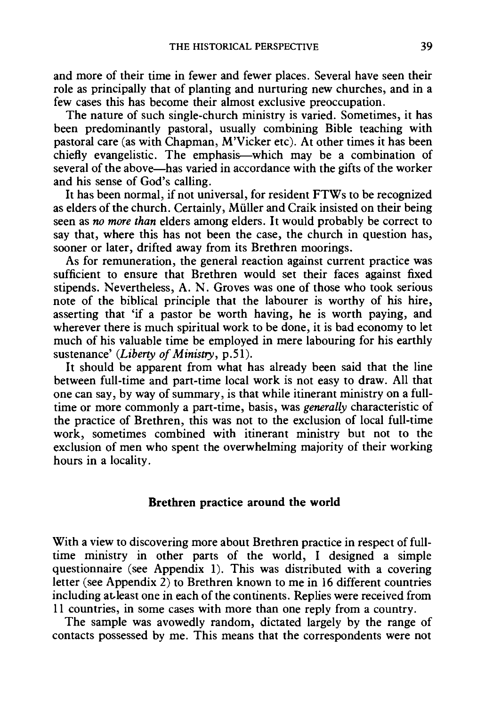and more of their time in fewer and fewer places. Several have seen their role as principally that of planting and nurturing new churches, and in a few cases this has become their almost exclusive preoccupation.

The nature of such single-church ministry is varied. Sometimes, it has been predominantly pastoral, usually combining Bible teaching with pastoral care (as with Chapman, M'Vicker etc). At other times it has been chiefly evangelistic. The emphasis-which may be a combination of several of the above—has varied in accordance with the gifts of the worker and his sense of God's calling.

It has been normal, if not universal, for resident FTWs to be recognized as elders of the church. Certainly, Miiller and Craik insisted on their being seen as *no more than* elders among elders. It would probably be correct to say that, where this has not been the case, the church in question has, sooner or later, drifted away from its Brethren moorings.

As for remuneration, the general reaction against current practice was sufficient to ensure that Brethren would set their faces against fixed stipends. Nevertheless, A. N. Groves was one of those who took serious note of the biblical principle that the labourer is worthy of his hire, asserting that 'if a pastor be worth having, he is worth paying, and wherever there is much spiritual work to be done, it is bad economy to let much of his valuable time be employed in mere labouring for his earthly sustenance' *(Liberty of Ministry,* p.Sl).

It should be apparent from what has already been said that the line between full-time and part-time local work is not easy to draw. All that one can say, by way of summary, is that while itinerant ministry on a fulltime or more commonly a part-time, basis, was *generally* characteristic of the practice of Brethren, this was not to the exclusion of local full-time work, sometimes combined with itinerant ministry but not to the exclusion of men who spent the overwhelming majority of their working hours in a locality.

#### **Brethren practice around the world**

With a view to discovering more about Brethren practice in respect of fulltime ministry in other parts of the world, I designed a simple questionnaire (see Appendix 1). This was distributed with a covering letter (see Appendix 2) to Brethren known to me in 16 different countries including at.least one in each of the continents. Replies were received from 11 countries, in some cases with more than one reply from a country.

The sample was avowedly random, dictated largely by the range of contacts possessed by me. This means that the correspondents were not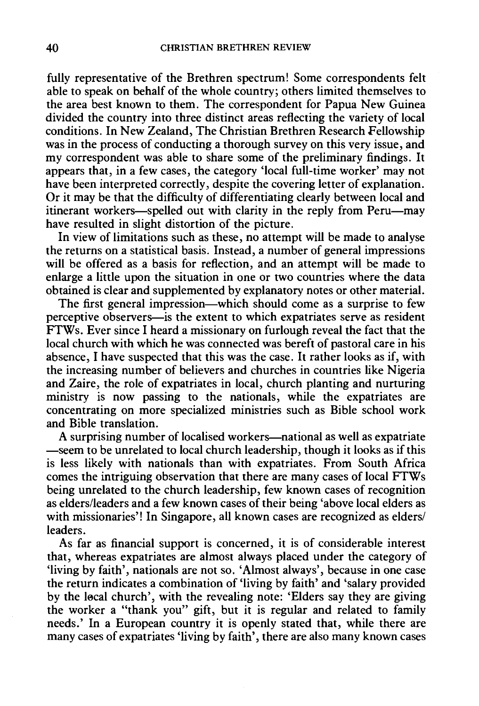fully representative of the Brethren spectrum! Some correspondents felt able to speak on behalf of the whole country; others limited themselves to the area best known to them. The correspondent for Papua New Guinea divided the country into three distinct areas reflecting the variety of local conditions. In New Zealand, The Christian Brethren Research Fellowship was in the process of conducting a thorough survey on this very issue, and my correspondent was able to share some of the preliminary findings. It appears that, in a few cases, the category 'local full-time worker' may not have been interpreted correctly, despite the covering letter of explanation. Or it may be that the difficulty of differentiating clearly between local and itinerant workers—spelled out with clarity in the reply from Peru—may have resulted in slight distortion of the picture.

In view of limitations such as these, no attempt will be made to analyse the returns on a statistical basis. Instead, a number of general impressions will be offered as a basis for reflection, and an attempt will be made to enlarge a little upon the situation in one or two countries where the data obtained is clear and supplemented by explanatory notes or other material.

The first general impression—which should come as a surprise to few perceptive observers-is the extent to which expatriates serve as resident FTWs. Ever since I heard a missionary on furlough reveal the fact that the local church with which he was connected was bereft of pastoral care in his absence, I have suspected that this was the case. It rather looks as if, with the increasing number of believers and churches in countries like Nigeria and Zaire, the role of expatriates in local, church planting and nurturing ministry is now passing to the nationals, while the expatriates are concentrating on more specialized ministries such as Bible school work and Bible translation.

A surprising number of localised workers-national as well as expatriate -seem to be unrelated to local church leadership, though it looks as if this is less likely with nationals than with expatriates. From South Africa comes the intriguing observation that there are many cases of local FTWs being unrelated to the church leadership, few known cases of recognition as elders/leaders and a few known cases of their being 'above local elders as with missionaries'! In Singapore, all known cases are recognized as elders/ leaders.

As far as financial support is concerned, it is of considerable interest that, whereas expatriates are almost always placed under the category of 'living by faith', nationals are not so. 'Almost always', because in one case the return indicates a combination of 'living by faith' and 'salary provided by the local church', with the revealing note: 'Elders say they are giving the worker a "thank you" gift, but it is regular and related to family needs.' In a European country it is openly stated that, while there are many cases of expatriates 'living by faith', there are also many known cases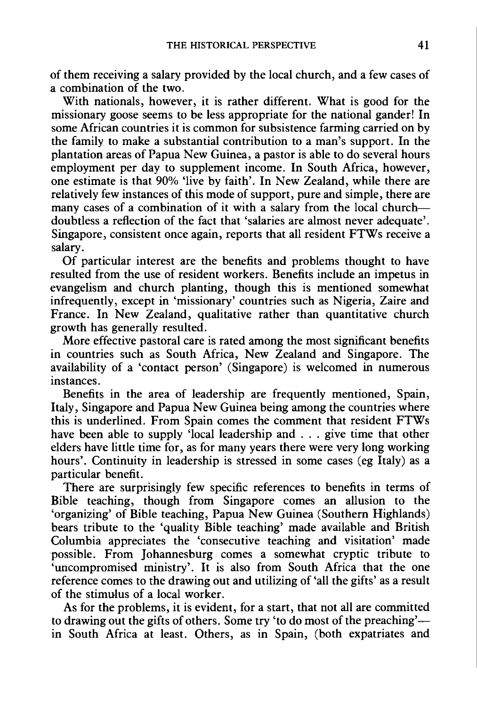of them receiving a salary provided by the local church, and a few cases of a combination of the two.

With nationals, however, it is rather different. What is good for the missionary goose seems to be less appropriate for the national gander! In some African countries it is common for subsistence farming carried on by the family to make a substantial contribution to a man's support. In the plantation areas of Papua New Guinea, a pastor is able to do several hours employment per day to supplement income. In South Africa, however, one estimate is that 90% 'live by faith'. In New Zealand, while there are relatively few instances of this mode of support, pure and simple, there are many cases of a combination of it with a salary from the local churchdoubtless a reflection of the fact that 'salaries are almost never adequate'. Singapore, consistent once again, reports that all resident FTWs receive a salary.

Of particular interest are the benefits and problems thought to have resulted from the use of resident workers. Benefits include an impetus in evangelism and church planting, though this is mentioned somewhat infrequently, except in 'missionary' countries such as Nigeria, Zaire and France. In New Zealand, qualitative rather than quantitative church growth has generally resulted.

More effective pastoral care is rated among the most significant benefits in countries such as South Africa, New Zealand and Singapore. The availability of a 'contact person' (Singapore) is welcomed in numerous instances.

Benefits in the area of leadership are frequently mentioned, Spain, Italy, Singapore and Papua New Guinea being among the countries where this is underlined. From Spain comes the comment that resident FTWs have been able to supply 'local leadership and . . . give time that other elders have little time for, as for many years there were very long working hours'. Continuity in leadership is stressed in some cases (eg Italy) as a particular benefit.

There are surprisingly few specific references to benefits in terms of Bible teaching, though from Singapore comes an allusion to the 'organizing' of Bible teaching, Papua New Guinea (Southern Highlands) bears tribute to the 'quality Bible teaching' made available and British Columbia appreciates the 'consecutive teaching and visitation' made possible. From Johannesburg comes a somewhat cryptic tribute to 'uncompromised ministry'. It is also from South Africa that the one reference comes to the drawing out and utilizing of 'all the gifts' as a result of the stimulus of a local worker.

As for the problems, it is evident, for a start, that not all are committed to drawing out the gifts of others. Some try 'to do most of the preaching' in South Africa at least. Others, as in Spain, (both expatriates and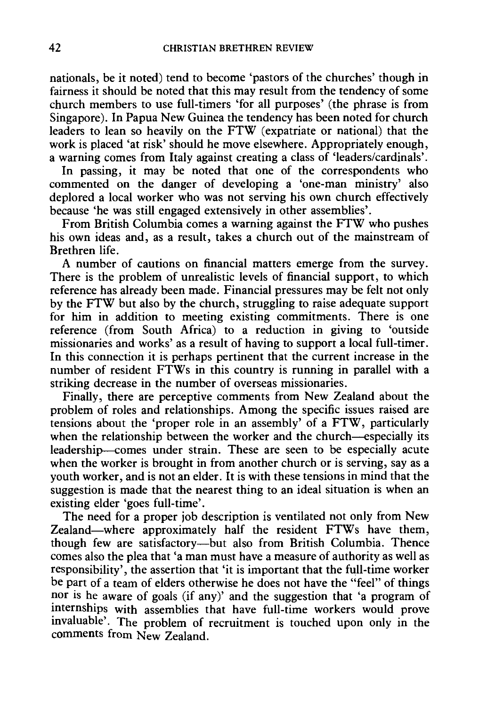nationals, be it noted) tend to become 'pastors of the churches' though in fairness it should be noted that this may result from the tendency of some church members to use full-timers 'for all purposes' (the phrase is from Singapore). In Papua New Guinea the tendency has been noted for church leaders to lean so heavily on the FTW (expatriate or national) that the work is placed 'at risk' should he move elsewhere. Appropriately enough, a warning comes from Italy against creating a class of 'leaders/cardinals'.

In passing, it may be noted that one of the correspondents who commented on the danger of developing a 'one-man ministry' also deplored a local worker who was not serving his own church effectively because 'he was still engaged extensively in other assemblies'.

From British Columbia comes a warning against the FTW who pushes his own ideas and, as a result, takes a church out of the mainstream of Brethren life.

A number of cautions on financial matters emerge from the survey. There is the problem of unrealistic levels of financial support, to which reference has already been made. Financial pressures may be felt not only by the FTW but also by the church, struggling to raise adequate support for him in addition to meeting existing commitments. There is one reference (from South Africa) to a reduction in giving to 'outside missionaries and works' as a result of having to support a local full-timer. In this connection it is perhaps pertinent that the current increase in the number of resident FTWs in this country is running in parallel with a striking decrease in the number of overseas missionaries.

Finally, there are perceptive comments from New Zealand about the problem of roles and relationships. Among the specific issues raised are tensions about the 'proper role in an assembly' of a FTW, particularly when the relationship between the worker and the church—especially its leadership-comes under strain. These are seen to be especially acute when the worker is brought in from another church or is serving, say as a youth worker, and is not an elder. It is with these tensions in mind that the suggestion is made that the nearest thing to an ideal situation is when an existing elder 'goes full-time'.

The need for a proper job description is ventilated not only from New Zealand-where approximately half the resident FTWs have them, though few are satisfactory-but also from British Columbia. Thence comes also the plea that 'a man must have a measure of authority as well as responsibility', the assertion that 'it is important that the full-time worker be part of a team of elders otherwise he does not have the "feel" of things nor is he aware of goals (if any)' and the suggestion that 'a program of internships with assemblies that have full-time workers would prove invaluable'. The problem of recruitment is touched upon only in the comments from New Zealand.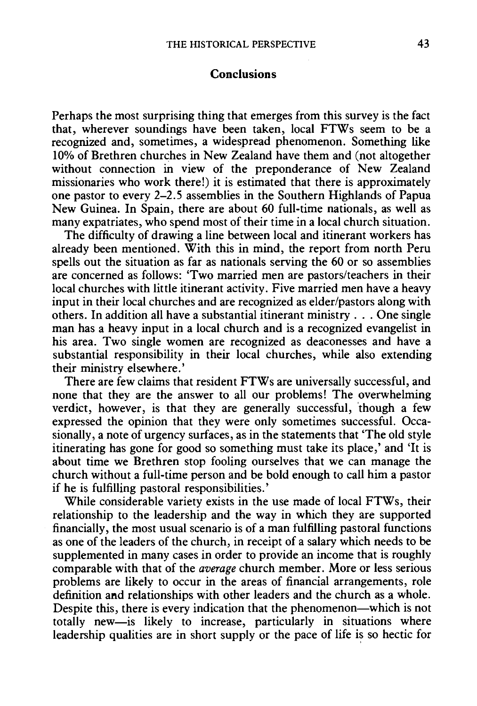#### **Conclusions**

Perhaps the most surprising thing that emerges from this survey is the fact that, wherever soundings have been taken, local FTWs seem to be a recognized and, sometimes, a widespread phenomenon. Something like 10% of Brethren churches in New Zealand have them and (not altogether without connection in view of the preponderance of New Zealand missionaries who work there!) it is estimated that there is approximately one pastor to every 2-2.5 assemblies in the Southern Highlands of Papua New Guinea. In Spain, there are about 60 full-time nationals, as well as many expatriates, who spend most of their time in a local church situation.

The difficulty of drawing a line between local and itinerant workers has already been mentioned. With this in mind, the report from north Peru spells out the situation as far as nationals serving the 60 or so assemblies are concerned as follows: 'Two married men are pastors/teachers in their local churches with little itinerant activity. Five married men have a heavy input in their local churches and are recognized as elder/pastors along with others. In addition all have a substantial itinerant ministry ... One single man has a heavy input in a local church and is a recognized evangelist in his area. Two single women are recognized as deaconesses and have a substantial responsibility in their local churches, while also extending their ministry elsewhere.'

There are few claims that resident FTWs are universally successful, and none that they are the answer to all our problems! The overwhelming verdict, however, is that they are generally successful, 'though a few expressed the opinion that they were only sometimes successful. Occasionally, a note of urgency surfaces, as in the statements that 'The old style itinerating has gone for good so something must take its place,' and 'It is about time we Brethren stop fooling ourselves that we can manage the church without a full-time person and be bold enough to call him a pastor if he is fulfilling pastoral responsibilities.'

While considerable variety exists in the use made of local FTWs, their relationship to the leadership and the way in which they are supported financially, the most usual scenario is of a man fulfilling pastoral functions as one of the leaders of the church, in receipt of a salary which needs to be supplemented in many cases in order to provide an income that is roughly comparable with that of the average church member. More or less serious problems are likely to occur in the areas of financial arrangements, role definition and relationships with other leaders and the church as a whole. Despite this, there is every indication that the phenomenon—which is not totally new-is likely to increase, particularly in situations where leadership qualities are in short supply or the pace of life is so hectic for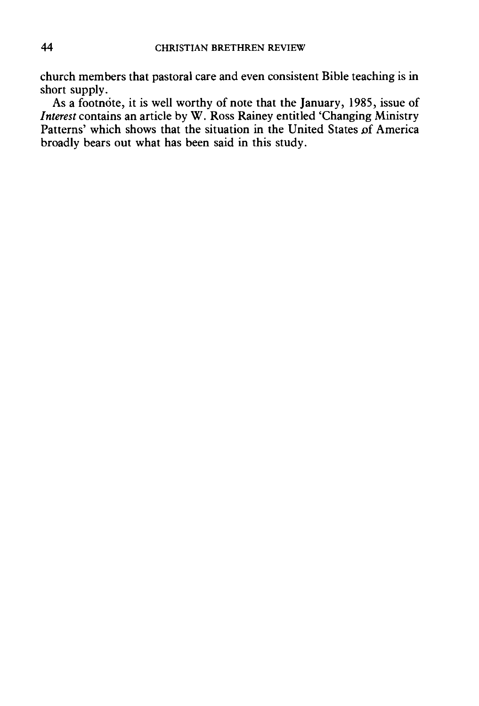church members that pastoral care and even consistent Bible teaching is in short supply.

As a footnote, it is well worthy of note that the January, 1985, issue of *Interest* contains an article by W. Ross Rainey entitled 'Changing Ministry Patterns' which shows that the situation in the United States of America broadly bears out what has been said in this study.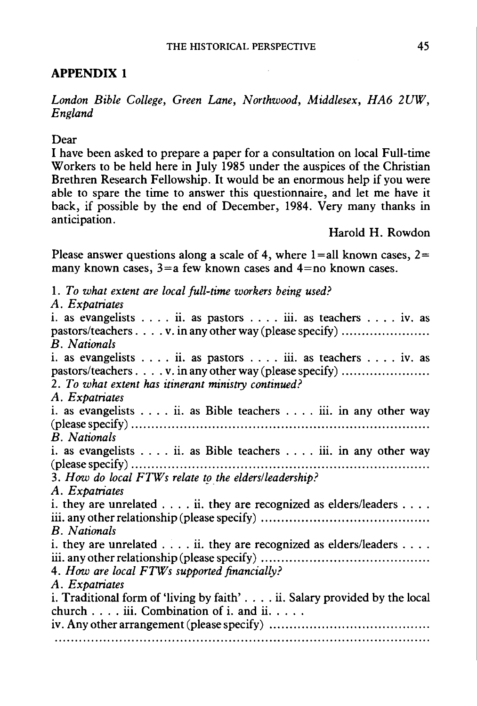## **APPENDIX 1**

*London Bible College, Green Lane, Northwood, Middlesex, HA6 2UW, England* 

#### Dear

I have been asked to prepare a paper for a consultation on local Full-time Workers to be held here in July 1985 under the auspices of the Christian Brethren Research Fellowship. It would be an enormous help if you were able to spare the time to answer this questionnaire, and let me have it back, if possible by the end of December, 1984. Very many thanks in anticipation.

Harold H. Rowdon

Please answer questions along a scale of 4, where  $1=$ all known cases,  $2=$ many known cases,  $3=a$  few known cases and  $4=$ no known cases.

1. *To what extent are local full-time workers being used? A. Expatriates*  i. as evangelists  $\dots$  ii. as pastors  $\dots$  iii. as teachers  $\dots$  iv. as pastors/teachers . . . . v. in any other way (please specify) ................... *B. Nationals*  i. as evangelists .... ii. as pastors .... iii. as teachers .... iv. as pastors/teachers . . . . v. in any other way (please specify) ................... 2. *To what extent has itinerant ministry continued? A. Expatriates*  i. as evangelists  $\dots$  ii. as Bible teachers  $\dots$  iii. in any other way (please specify) ......................................................................... . *B. Nationals*  i. as evangelists .... ii. as Bible teachers .... iii. in any other way (please specify) ......................................................................... . 3. *How do local FTWs relate to the elders/leadership?*  A. Expatriates i. they are unrelated  $\dots$  ii. they are recognized as elders/leaders  $\dots$ . iii. any other relationship (please specify) ......................................... . *B. Nationals*  i. they are unrelated  $\dots$  ii. they are recognized as elders/leaders  $\dots$ . iii. any other relationship (please specify) ......................................... . 4. *How are local FTWs supported financially? A. Expatriates*  i. Traditional form of 'living by faith' . . . . ii. Salary provided by the local church  $\dots$  iii. Combination of i. and ii.... iv. Any other arrangement (please specify) ....................................... .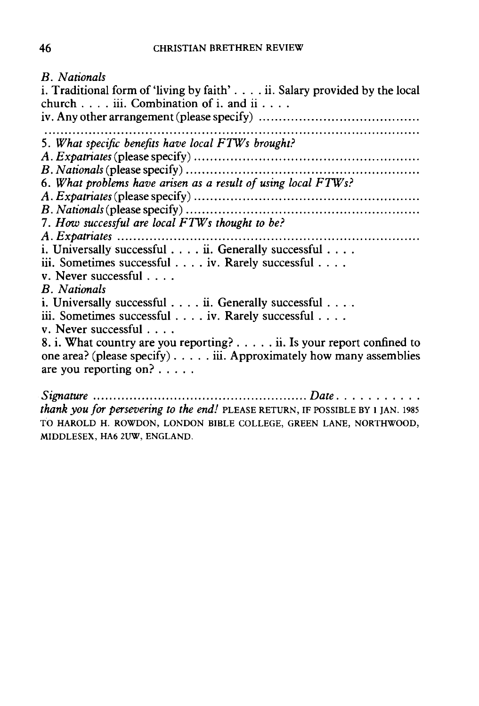*B. Nationals* 

i. Traditional form of 'living by faith' .... ii. Salary provided by the local church  $\ldots$  iii. Combination of i. and ii...  $iv.$  Any other arrangement (please specify)  $\dots\dots\dots\dots\dots\dots\dots\dots\dots\dots\dots\dots\dots$ 5. *What specific benefits have local FIWs brought? A. Expatriates* (please specify) ....................................................... . *B. Nationals* (please specify) ......................................................... . 6. *What problems have arisen as a result of using local FIWs? A. Expatriates* (please specify) ....................................................... . *B. Nationals* (please specify) ......................................................... . 7. *How successful are local FIWs thought to be? A. Expatriates* .......................................................................... . i. Universally successful . . . . ii. Generally successful . . . . iii. Sometimes successful . . . . iv. Rarely successful . . . . v. Never successful . . . . *B. Nationals*  i. Universally successful . . . . ii. Generally successful . . . . iii. Sometimes successful . . . . iv. Rarely successful . . . . v. Never successful . . . . 8. i. What country are you reporting? ..... ii. Is your report confined to one area? (please specify)  $\ldots$ .... iii. Approximately how many assemblies are you reporting on? .... . *Signature* ..................................................... *Date .* ......... .

*thank you for persevering to the end!* PLEASE RETURN, IF POSSIBLE BY 1 IAN, 1985 TO HAROLD H. ROWDON, LONDON BIBLE COLLEGE, GREEN LANE, NORTHWOOD, MIDDLESEX, HA6 2UW, ENGLAND.